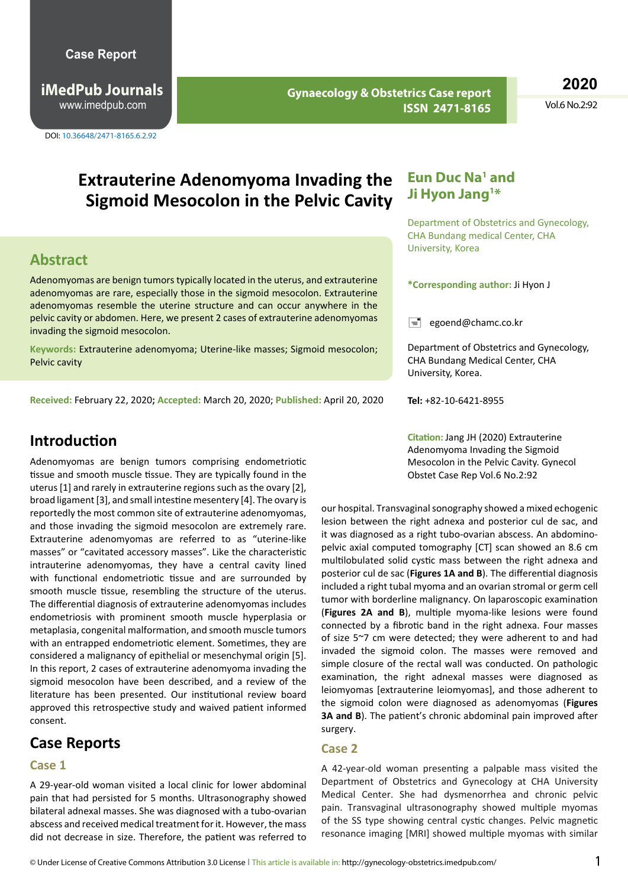**iMedPub Journals** www.imedpub.com

DOI: 10.36648/2471-8165.6.2.92

**Gynaecology & Obstetrics Case report ISSN 2471-8165**

**2020**

Vol.6 No.2:92

# **Extrauterine Adenomyoma Invading the Sigmoid Mesocolon in the Pelvic Cavity**

### **Abstract**

Adenomyomas are benign tumors typically located in the uterus, and extrauterine adenomyomas are rare, especially those in the sigmoid mesocolon. Extrauterine adenomyomas resemble the uterine structure and can occur anywhere in the pelvic cavity or abdomen. Here, we present 2 cases of extrauterine adenomyomas invading the sigmoid mesocolon.

**Keywords:** Extrauterine adenomyoma; Uterine-like masses; Sigmoid mesocolon; Pelvic cavity

**Received:** February 22, 2020**; Accepted:** March 20, 2020; **Published:** April 20, 2020

### **Introduction**

Adenomyomas are benign tumors comprising endometriotic tissue and smooth muscle tissue. They are typically found in the uterus [1] and rarely in extrauterine regions such as the ovary [2], broad ligament [3], and small intestine mesentery [4]. The ovary is reportedly the most common site of extrauterine adenomyomas, and those invading the sigmoid mesocolon are extremely rare. Extrauterine adenomyomas are referred to as "uterine-like masses" or "cavitated accessory masses". Like the characteristic intrauterine adenomyomas, they have a central cavity lined with functional endometriotic tissue and are surrounded by smooth muscle tissue, resembling the structure of the uterus. The differential diagnosis of extrauterine adenomyomas includes endometriosis with prominent smooth muscle hyperplasia or metaplasia, congenital malformation, and smooth muscle tumors with an entrapped endometriotic element. Sometimes, they are considered a malignancy of epithelial or mesenchymal origin [5]. In this report, 2 cases of extrauterine adenomyoma invading the sigmoid mesocolon have been described, and a review of the literature has been presented. Our institutional review board approved this retrospective study and waived patient informed consent.

# **Case Reports**

#### **Case 1**

A 29-year-old woman visited a local clinic for lower abdominal pain that had persisted for 5 months. Ultrasonography showed bilateral adnexal masses. She was diagnosed with a tubo-ovarian abscess and received medical treatment for it. However, the mass did not decrease in size. Therefore, the patient was referred to

### Eun Duc Na<sup>1</sup> and **Ji Hyon Jang1 \***

Department of Obstetrics and Gynecology, CHA Bundang medical Center, CHA University, Korea

**\*Corresponding author:** Ji Hyon J

 $\equiv$  egoend@chamc.co.kr

Department of Obstetrics and Gynecology, CHA Bundang Medical Center, CHA University, Korea.

**Tel:** +82-10-6421-8955

**Citation:** Jang JH (2020) Extrauterine Adenomyoma Invading the Sigmoid Mesocolon in the Pelvic Cavity. Gynecol Obstet Case Rep Vol.6 No.2:92

our hospital. Transvaginal sonography showed a mixed echogenic lesion between the right adnexa and posterior cul de sac, and it was diagnosed as a right tubo-ovarian abscess. An abdominopelvic axial computed tomography [CT] scan showed an 8.6 cm multilobulated solid cystic mass between the right adnexa and posterior cul de sac (**Figures 1A and B**). The differential diagnosis included a right tubal myoma and an ovarian stromal or germ cell tumor with borderline malignancy. On laparoscopic examination (**Figures 2A and B**), multiple myoma-like lesions were found connected by a fibrotic band in the right adnexa. Four masses of size 5~7 cm were detected; they were adherent to and had invaded the sigmoid colon. The masses were removed and simple closure of the rectal wall was conducted. On pathologic examination, the right adnexal masses were diagnosed as leiomyomas [extrauterine leiomyomas], and those adherent to the sigmoid colon were diagnosed as adenomyomas (**Figures 3A and B**). The patient's chronic abdominal pain improved after surgery.

#### **Case 2**

A 42-year-old woman presenting a palpable mass visited the Department of Obstetrics and Gynecology at CHA University Medical Center. She had dysmenorrhea and chronic pelvic pain. Transvaginal ultrasonography showed multiple myomas of the SS type showing central cystic changes. Pelvic magnetic resonance imaging [MRI] showed multiple myomas with similar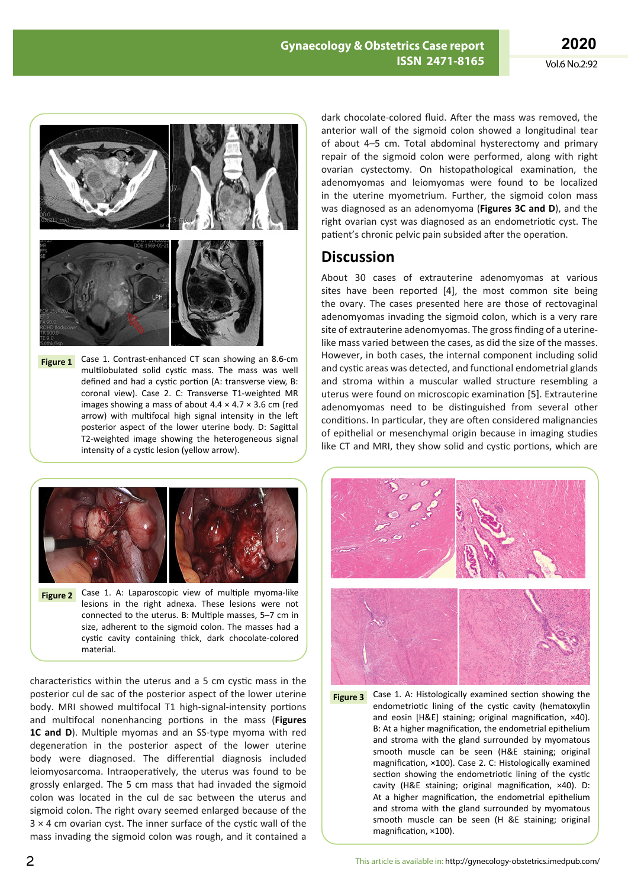

Case 1. Contrast-enhanced CT scan showing an 8.6-cm multilobulated solid cystic mass. The mass was well defined and had a cystic portion (A: transverse view, B: coronal view). Case 2. C: Transverse T1-weighted MR images showing a mass of about  $4.4 \times 4.7 \times 3.6$  cm (red arrow) with multifocal high signal intensity in the left posterior aspect of the lower uterine body. D: Sagittal T2-weighted image showing the heterogeneous signal intensity of a cystic lesion (yellow arrow). **Figure 1**



Case 1. A: Laparoscopic view of multiple myoma-like lesions in the right adnexa. These lesions were not connected to the uterus. B: Multiple masses, 5–7 cm in size, adherent to the sigmoid colon. The masses had a cystic cavity containing thick, dark chocolate-colored material. **Figure 2**

characteristics within the uterus and a 5 cm cystic mass in the posterior cul de sac of the posterior aspect of the lower uterine body. MRI showed multifocal T1 high-signal-intensity portions and multifocal nonenhancing portions in the mass (**Figures 1C and D**). Multiple myomas and an SS-type myoma with red degeneration in the posterior aspect of the lower uterine body were diagnosed. The differential diagnosis included leiomyosarcoma. Intraoperatively, the uterus was found to be grossly enlarged. The 5 cm mass that had invaded the sigmoid colon was located in the cul de sac between the uterus and sigmoid colon. The right ovary seemed enlarged because of the  $3 \times 4$  cm ovarian cyst. The inner surface of the cystic wall of the mass invading the sigmoid colon was rough, and it contained a

dark chocolate-colored fluid. After the mass was removed, the anterior wall of the sigmoid colon showed a longitudinal tear of about 4–5 cm. Total abdominal hysterectomy and primary repair of the sigmoid colon were performed, along with right ovarian cystectomy. On histopathological examination, the adenomyomas and leiomyomas were found to be localized in the uterine myometrium. Further, the sigmoid colon mass was diagnosed as an adenomyoma (**Figures 3C and D**), and the right ovarian cyst was diagnosed as an endometriotic cyst. The patient's chronic pelvic pain subsided after the operation.

# **Discussion**

About 30 cases of extrauterine adenomyomas at various sites have been reported [4], the most common site being the ovary. The cases presented here are those of rectovaginal adenomyomas invading the sigmoid colon, which is a very rare site of extrauterine adenomyomas. The gross finding of a uterinelike mass varied between the cases, as did the size of the masses. However, in both cases, the internal component including solid and cystic areas was detected, and functional endometrial glands and stroma within a muscular walled structure resembling a uterus were found on microscopic examination [5]. Extrauterine adenomyomas need to be distinguished from several other conditions. In particular, they are often considered malignancies of epithelial or mesenchymal origin because in imaging studies like CT and MRI, they show solid and cystic portions, which are